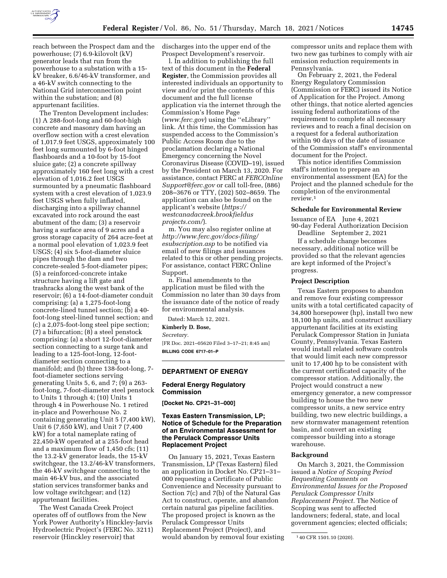

reach between the Prospect dam and the powerhouse; (7) 6.9-kilovolt (kV) generator leads that run from the powerhouse to a substation with a 15 kV breaker, 6.6/46-kV transformer, and a 46-kV switch connecting to the National Grid interconnection point within the substation; and (8) appurtenant facilities.

The Trenton Development includes: (1) A 288-foot-long and 60-foot-high concrete and masonry dam having an overflow section with a crest elevation of 1,017.9 feet USGS, approximately 100 feet long surmounted by 6-foot hinged flashboards and a 10-foot by 15-foot sluice gate; (2) a concrete spillway approximately 160 feet long with a crest elevation of 1,016.2 feet USGS surmounted by a pneumatic flashboard system with a crest elevation of 1,023.9 feet USGS when fully inflated, discharging into a spillway channel excavated into rock around the east abutment of the dam; (3) a reservoir having a surface area of 9 acres and a gross storage capacity of 264 acre-feet at a normal pool elevation of 1,023.9 feet USGS; (4) six 5-foot-diameter sluice pipes through the dam and two concrete-sealed 5-foot-diameter pipes; (5) a reinforced-concrete intake structure having a lift gate and trashracks along the west bank of the reservoir; (6) a 14-foot-diameter conduit comprising: (a) a 1,275-foot-long concrete-lined tunnel section; (b) a 40 foot-long steel-lined tunnel section; and (c) a 2,075-foot-long steel pipe section; (7) a bifurcation; (8) a steel penstock comprising: (a) a short 12-foot-diameter section connecting to a surge tank and leading to a 125-foot-long, 12-footdiameter section connecting to a manifold; and (b) three 138-foot-long, 7 foot-diameter sections serving generating Units 5, 6, and 7; (9) a 263 foot-long, 7-foot-diameter steel penstock to Units 1 through 4; (10) Units 1 through 4 in Powerhouse No. 1 retired in-place and Powerhouse No. 2 containing generating Unit 5 (7,400 kW), Unit 6 (7,650 kW), and Unit 7 (7,400 kW) for a total nameplate rating of 22,450-kW operated at a 255-foot head and a maximum flow of 1,450 cfs; (11) the 13.2-kV generator leads, the 15-kV switchgear, the 13.2/46-kV transformers, the 46-kV switchgear connecting to the main 46-kV bus, and the associated station services transformer banks and low voltage switchgear; and (12) appurtenant facilities.

The West Canada Creek Project operates off of outflows from the New York Power Authority's Hinckley-Jarvis Hydroelectric Project's (FERC No. 3211) reservoir (Hinckley reservoir) that

discharges into the upper end of the Prospect Development's reservoir.

l. In addition to publishing the full text of this document in the **Federal Register**, the Commission provides all interested individuals an opportunity to view and/or print the contents of this document and the full license application via the internet through the Commission's Home Page (*[www.ferc.gov](http://www.ferc.gov)*) using the ''eLibrary'' link. At this time, the Commission has suspended access to the Commission's Public Access Room due to the proclamation declaring a National Emergency concerning the Novel Coronavirus Disease (COVID–19), issued by the President on March 13, 2020. For assistance, contact FERC at *[FERCOnline](mailto:FERCOnlineSupport@ferc.gov) [Support@ferc.gov](mailto:FERCOnlineSupport@ferc.gov)* or call toll-free, (886) 208–3676 or TTY, (202) 502–8659. The application can also be found on the applicant's website (*[https://](https://westcanadacreek.brookfieldusprojects.com/) [westcanadacreek.brookfieldus](https://westcanadacreek.brookfieldusprojects.com/) [projects.com/](https://westcanadacreek.brookfieldusprojects.com/)*).

m. You may also register online at *[http://www.ferc.gov/docs-filing/](http://www.ferc.gov/docs-filing/esubscription.asp) [esubscription.asp](http://www.ferc.gov/docs-filing/esubscription.asp)* to be notified via email of new filings and issuances related to this or other pending projects. For assistance, contact FERC Online Support.

n. Final amendments to the application must be filed with the Commission no later than 30 days from the issuance date of the notice of ready for environmental analysis.

Dated: March 12, 2021.

**Kimberly D. Bose,** 

*Secretary.* 

[FR Doc. 2021–05620 Filed 3–17–21; 8:45 am] **BILLING CODE 6717–01–P** 

## **DEPARTMENT OF ENERGY**

### **Federal Energy Regulatory Commission**

**[Docket No. CP21–31–000]** 

# **Texas Eastern Transmission, LP; Notice of Schedule for the Preparation of an Environmental Assessment for the Perulack Compressor Units Replacement Project**

On January 15, 2021, Texas Eastern Transmission, LP (Texas Eastern) filed an application in Docket No. CP21–31– 000 requesting a Certificate of Public Convenience and Necessity pursuant to Section 7(c) and 7(b) of the Natural Gas Act to construct, operate, and abandon certain natural gas pipeline facilities. The proposed project is known as the Perulack Compressor Units Replacement Project (Project), and would abandon by removal four existing compressor units and replace them with two new gas turbines to comply with air emission reduction requirements in Pennsylvania.

On February 2, 2021, the Federal Energy Regulatory Commission (Commission or FERC) issued its Notice of Application for the Project. Among other things, that notice alerted agencies issuing federal authorizations of the requirement to complete all necessary reviews and to reach a final decision on a request for a federal authorization within 90 days of the date of issuance of the Commission staff's environmental document for the Project.

This notice identifies Commission staff's intention to prepare an environmental assessment (EA) for the Project and the planned schedule for the completion of the environmental review.<sup>1</sup>

#### **Schedule for Environmental Review**

Issuance of EA June 4, 2021 90-day Federal Authorization Decision Deadline September 2, 2021

If a schedule change becomes necessary, additional notice will be provided so that the relevant agencies are kept informed of the Project's progress.

#### **Project Description**

Texas Eastern proposes to abandon and remove four existing compressor units with a total certificated capacity of 34,800 horsepower (hp), install two new 18,100 hp units, and construct auxiliary appurtenant facilities at its existing Perulack Compressor Station in Juniata County, Pennsylvania. Texas Eastern would install related software controls that would limit each new compressor unit to 17,400 hp to be consistent with the current certificated capacity of the compressor station. Additionally, the Project would construct a new emergency generator, a new compressor building to house the two new compressor units, a new service entry building, two new electric buildings, a new stormwater management retention basin, and convert an existing compressor building into a storage warehouse.

### **Background**

On March 3, 2021, the Commission issued a *Notice of Scoping Period Requesting Comments on Environmental Issues for the Proposed Perulack Compressor Units Replacement Project.* The Notice of Scoping was sent to affected landowners; federal, state, and local government agencies; elected officials;

<sup>1</sup> 40 CFR 1501.10 (2020).